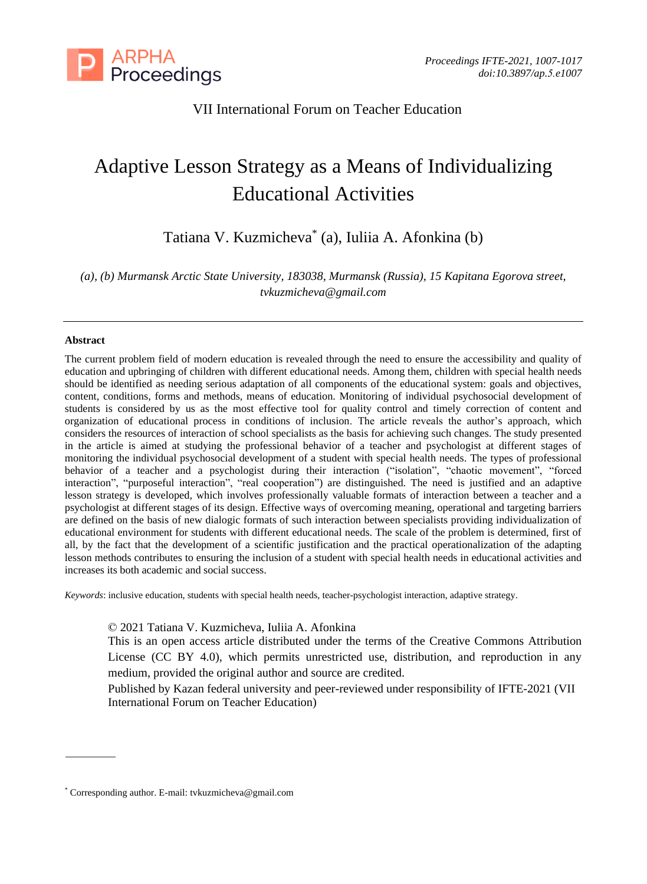

# VII International Forum on Teacher Education

# Adaptive Lesson Strategy as a Means of Individualizing Educational Activities

Tatiana V. Kuzmicheva\* (a), Iuliia A. Afonkina (b)

*(a), (b) Murmansk Arctic State University, 183038, Murmansk (Russia), 15 Kapitana Egorova street, tvkuzmicheva@gmail.com*

#### **Abstract**

The current problem field of modern education is revealed through the need to ensure the accessibility and quality of education and upbringing of children with different educational needs. Among them, children with special health needs should be identified as needing serious adaptation of all components of the educational system: goals and objectives, content, conditions, forms and methods, means of education. Monitoring of individual psychosocial development of students is considered by us as the most effective tool for quality control and timely correction of content and organization of educational process in conditions of inclusion. The article reveals the author's approach, which considers the resources of interaction of school specialists as the basis for achieving such changes. The study presented in the article is aimed at studying the professional behavior of a teacher and psychologist at different stages of monitoring the individual psychosocial development of a student with special health needs. The types of professional behavior of a teacher and a psychologist during their interaction ("isolation", "chaotic movement", "forced interaction", "purposeful interaction", "real cooperation") are distinguished. The need is justified and an adaptive lesson strategy is developed, which involves professionally valuable formats of interaction between a teacher and a psychologist at different stages of its design. Effective ways of overcoming meaning, operational and targeting barriers are defined on the basis of new dialogic formats of such interaction between specialists providing individualization of educational environment for students with different educational needs. The scale of the problem is determined, first of all, by the fact that the development of a scientific justification and the practical operationalization of the adapting lesson methods contributes to ensuring the inclusion of a student with special health needs in educational activities and increases its both academic and social success.

*Keywords*: inclusive education, students with special health needs, teacher-psychologist interaction, adaptive strategy.

© 2021 Tatiana V. Kuzmicheva, Iuliia A. Afonkina

This is an open access article distributed under the terms of the Creative Commons Attribution License (CC BY 4.0), which permits unrestricted use, distribution, and reproduction in any medium, provided the original author and source are credited.

Published by Kazan federal university and peer-reviewed under responsibility of IFTE-2021 (VII International Forum on Teacher Education)

<sup>\*</sup> Corresponding author. E-mail: tvkuzmicheva@gmail.com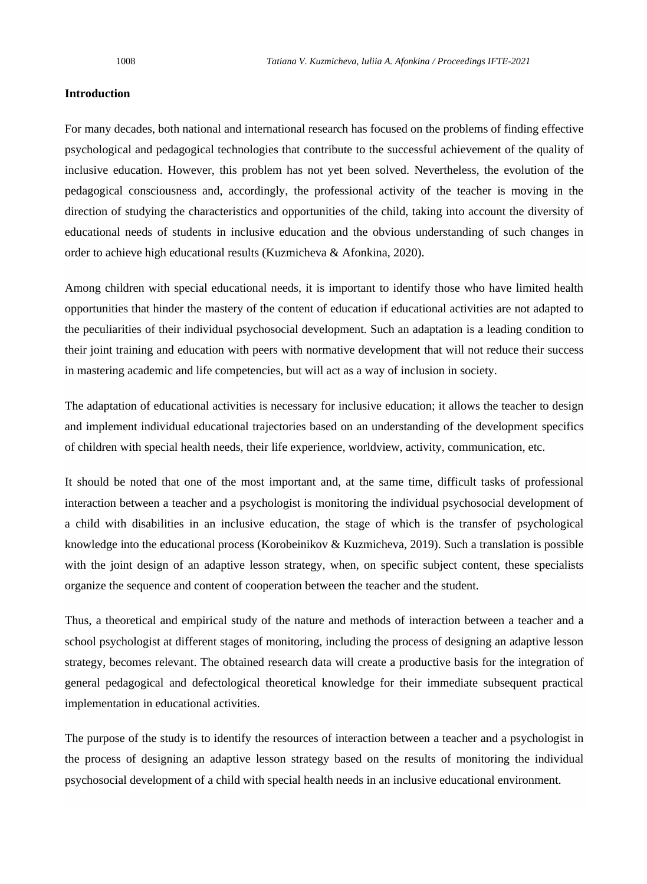#### **Introduction**

For many decades, both national and international research has focused on the problems of finding effective psychological and pedagogical technologies that contribute to the successful achievement of the quality of inclusive education. However, this problem has not yet been solved. Nevertheless, the evolution of the pedagogical consciousness and, accordingly, the professional activity of the teacher is moving in the direction of studying the characteristics and opportunities of the child, taking into account the diversity of educational needs of students in inclusive education and the obvious understanding of such changes in order to achieve high educational results (Kuzmicheva & Afonkina, 2020).

Among children with special educational needs, it is important to identify those who have limited health opportunities that hinder the mastery of the content of education if educational activities are not adapted to the peculiarities of their individual psychosocial development. Such an adaptation is a leading condition to their joint training and education with peers with normative development that will not reduce their success in mastering academic and life competencies, but will act as a way of inclusion in society.

The adaptation of educational activities is necessary for inclusive education; it allows the teacher to design and implement individual educational trajectories based on an understanding of the development specifics of children with special health needs, their life experience, worldview, activity, communication, etc.

It should be noted that one of the most important and, at the same time, difficult tasks of professional interaction between a teacher and a psychologist is monitoring the individual psychosocial development of a child with disabilities in an inclusive education, the stage of which is the transfer of psychological knowledge into the educational process (Korobeinikov & Kuzmicheva, 2019). Such a translation is possible with the joint design of an adaptive lesson strategy, when, on specific subject content, these specialists organize the sequence and content of cooperation between the teacher and the student.

Thus, a theoretical and empirical study of the nature and methods of interaction between a teacher and a school psychologist at different stages of monitoring, including the process of designing an adaptive lesson strategy, becomes relevant. The obtained research data will create a productive basis for the integration of general pedagogical and defectological theoretical knowledge for their immediate subsequent practical implementation in educational activities.

The purpose of the study is to identify the resources of interaction between a teacher and a psychologist in the process of designing an adaptive lesson strategy based on the results of monitoring the individual psychosocial development of a child with special health needs in an inclusive educational environment.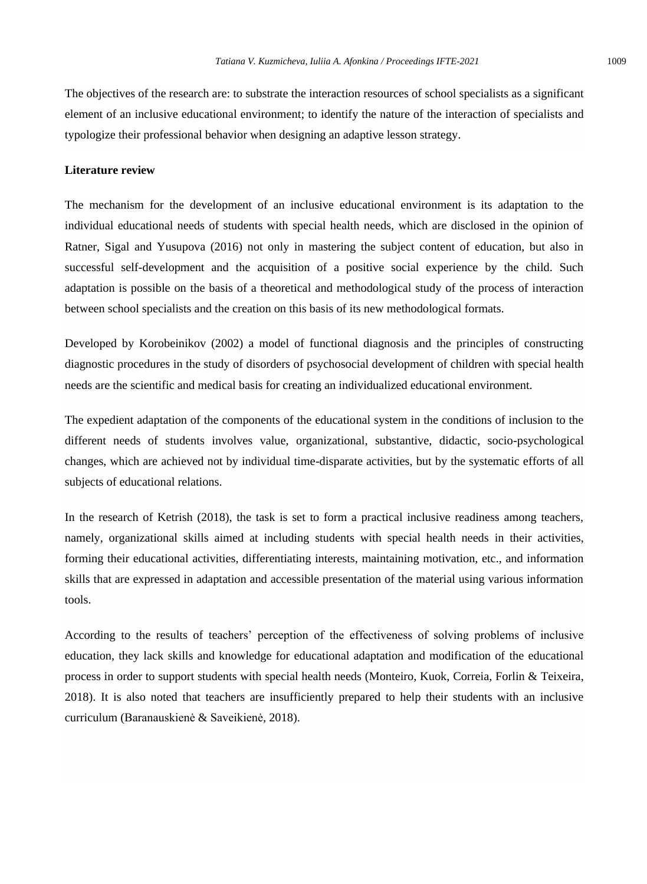The objectives of the research are: to substrate the interaction resources of school specialists as a significant element of an inclusive educational environment; to identify the nature of the interaction of specialists and typologize their professional behavior when designing an adaptive lesson strategy.

### **Literature review**

The mechanism for the development of an inclusive educational environment is its adaptation to the individual educational needs of students with special health needs, which are disclosed in the opinion of Ratner, Sigal and Yusupova (2016) not only in mastering the subject content of education, but also in successful self-development and the acquisition of a positive social experience by the child. Such adaptation is possible on the basis of a theoretical and methodological study of the process of interaction between school specialists and the creation on this basis of its new methodological formats.

Developed by Korobeinikov (2002) a model of functional diagnosis and the principles of constructing diagnostic procedures in the study of disorders of psychosocial development of children with special health needs are the scientific and medical basis for creating an individualized educational environment.

The expedient adaptation of the components of the educational system in the conditions of inclusion to the different needs of students involves value, organizational, substantive, didactic, socio-psychological changes, which are achieved not by individual time-disparate activities, but by the systematic efforts of all subjects of educational relations.

In the research of Ketrish (2018), the task is set to form a practical inclusive readiness among teachers, namely, organizational skills aimed at including students with special health needs in their activities, forming their educational activities, differentiating interests, maintaining motivation, etc., and information skills that are expressed in adaptation and accessible presentation of the material using various information tools.

According to the results of teachers' perception of the effectiveness of solving problems of inclusive education, they lack skills and knowledge for educational adaptation and modification of the educational process in order to support students with special health needs (Monteiro, Kuok, Correia, Forlin & Teixeira, 2018). It is also noted that teachers are insufficiently prepared to help their students with an inclusive curriculum (Baranauskienė & Saveikienė, 2018).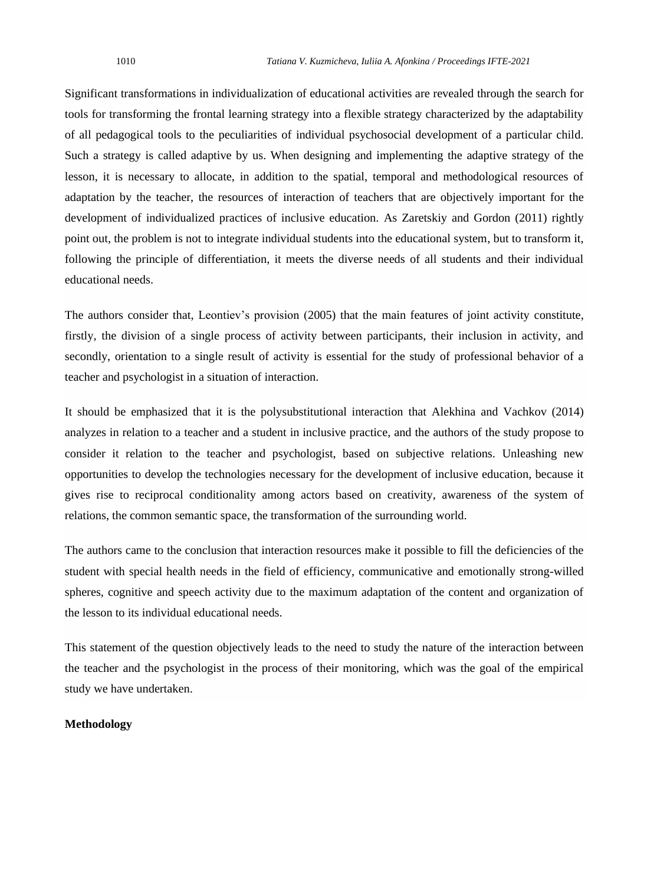Significant transformations in individualization of educational activities are revealed through the search for tools for transforming the frontal learning strategy into a flexible strategy characterized by the adaptability of all pedagogical tools to the peculiarities of individual psychosocial development of a particular child. Such a strategy is called adaptive by us. When designing and implementing the adaptive strategy of the lesson, it is necessary to allocate, in addition to the spatial, temporal and methodological resources of adaptation by the teacher, the resources of interaction of teachers that are objectively important for the development of individualized practices of inclusive education. As Zaretskiy and Gordon (2011) rightly point out, the problem is not to integrate individual students into the educational system, but to transform it, following the principle of differentiation, it meets the diverse needs of all students and their individual educational needs.

The authors consider that, Leontiev's provision (2005) that the main features of joint activity constitute, firstly, the division of a single process of activity between participants, their inclusion in activity, and secondly, orientation to a single result of activity is essential for the study of professional behavior of a teacher and psychologist in a situation of interaction.

It should be emphasized that it is the polysubstitutional interaction that Alekhina and Vachkov (2014) analyzes in relation to a teacher and a student in inclusive practice, and the authors of the study propose to consider it relation to the teacher and psychologist, based on subjective relations. Unleashing new opportunities to develop the technologies necessary for the development of inclusive education, because it gives rise to reciprocal conditionality among actors based on creativity, awareness of the system of relations, the common semantic space, the transformation of the surrounding world.

The authors came to the conclusion that interaction resources make it possible to fill the deficiencies of the student with special health needs in the field of efficiency, communicative and emotionally strong-willed spheres, cognitive and speech activity due to the maximum adaptation of the content and organization of the lesson to its individual educational needs.

This statement of the question objectively leads to the need to study the nature of the interaction between the teacher and the psychologist in the process of their monitoring, which was the goal of the empirical study we have undertaken.

#### **Methodology**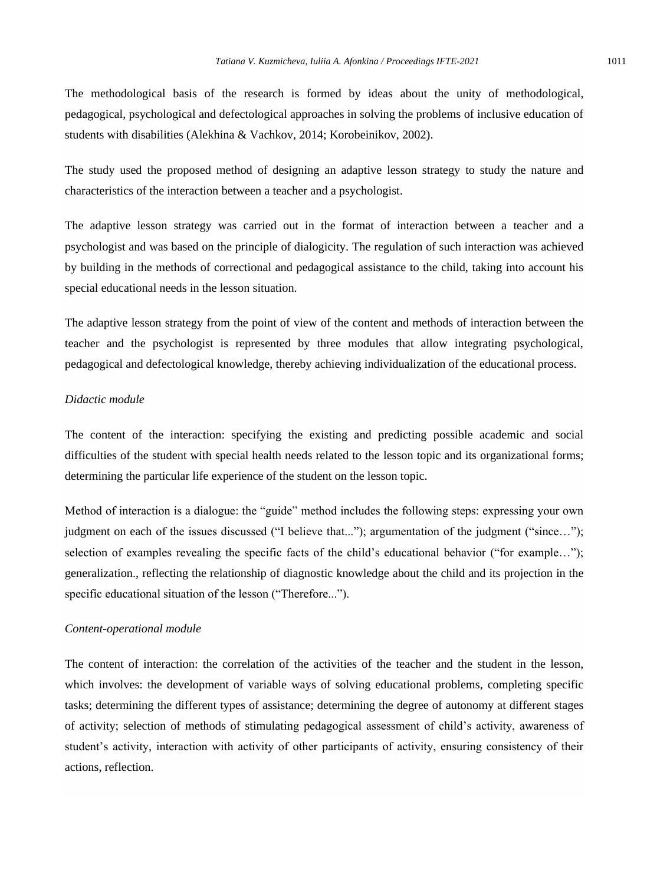The methodological basis of the research is formed by ideas about the unity of methodological, pedagogical, psychological and defectological approaches in solving the problems of inclusive education of students with disabilities (Alekhina & Vachkov, 2014; Korobeinikov, 2002).

The study used the proposed method of designing an adaptive lesson strategy to study the nature and characteristics of the interaction between a teacher and a psychologist.

The adaptive lesson strategy was carried out in the format of interaction between a teacher and a psychologist and was based on the principle of dialogicity. The regulation of such interaction was achieved by building in the methods of correctional and pedagogical assistance to the child, taking into account his special educational needs in the lesson situation.

The adaptive lesson strategy from the point of view of the content and methods of interaction between the teacher and the psychologist is represented by three modules that allow integrating psychological, pedagogical and defectological knowledge, thereby achieving individualization of the educational process.

## *Didactic module*

The content of the interaction: specifying the existing and predicting possible academic and social difficulties of the student with special health needs related to the lesson topic and its organizational forms; determining the particular life experience of the student on the lesson topic.

Method of interaction is a dialogue: the "guide" method includes the following steps: expressing your own judgment on each of the issues discussed ("I believe that..."); argumentation of the judgment ("since…"); selection of examples revealing the specific facts of the child's educational behavior ("for example…"); generalization., reflecting the relationship of diagnostic knowledge about the child and its projection in the specific educational situation of the lesson ("Therefore...").

# *Content-operational module*

The content of interaction: the correlation of the activities of the teacher and the student in the lesson, which involves: the development of variable ways of solving educational problems, completing specific tasks; determining the different types of assistance; determining the degree of autonomy at different stages of activity; selection of methods of stimulating pedagogical assessment of child's activity, awareness of student's activity, interaction with activity of other participants of activity, ensuring consistency of their actions, reflection.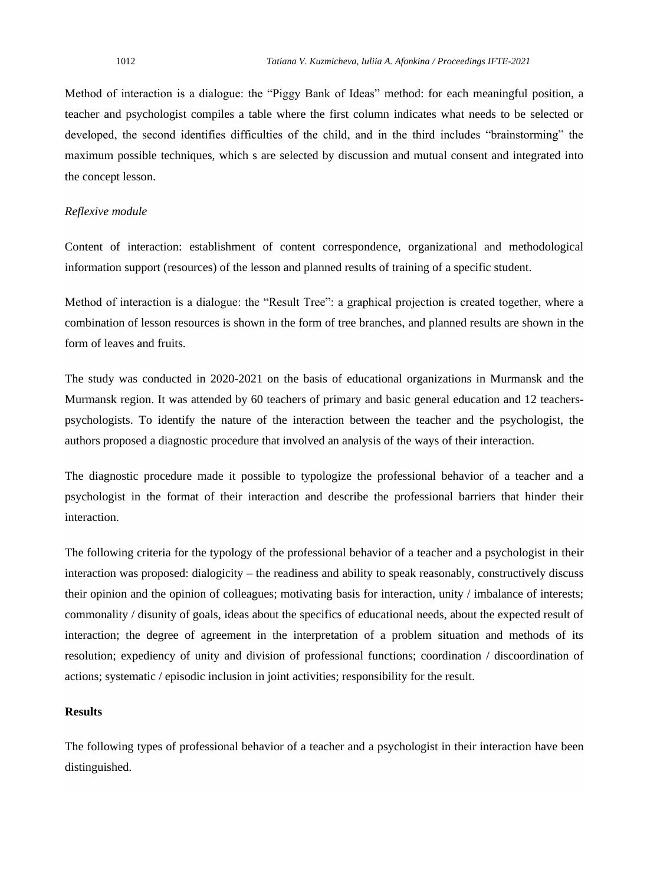Method of interaction is a dialogue: the "Piggy Bank of Ideas" method: for each meaningful position, a teacher and psychologist compiles a table where the first column indicates what needs to be selected or developed, the second identifies difficulties of the child, and in the third includes "brainstorming" the maximum possible techniques, which s are selected by discussion and mutual consent and integrated into the concept lesson.

#### *Reflexive module*

Content of interaction: establishment of content correspondence, organizational and methodological information support (resources) of the lesson and planned results of training of a specific student.

Method of interaction is a dialogue: the "Result Tree": a graphical projection is created together, where a combination of lesson resources is shown in the form of tree branches, and planned results are shown in the form of leaves and fruits.

The study was conducted in 2020-2021 on the basis of educational organizations in Murmansk and the Murmansk region. It was attended by 60 teachers of primary and basic general education and 12 teacherspsychologists. To identify the nature of the interaction between the teacher and the psychologist, the authors proposed a diagnostic procedure that involved an analysis of the ways of their interaction.

The diagnostic procedure made it possible to typologize the professional behavior of a teacher and a psychologist in the format of their interaction and describe the professional barriers that hinder their interaction.

The following criteria for the typology of the professional behavior of a teacher and a psychologist in their interaction was proposed: dialogicity – the readiness and ability to speak reasonably, constructively discuss their opinion and the opinion of colleagues; motivating basis for interaction, unity / imbalance of interests; commonality / disunity of goals, ideas about the specifics of educational needs, about the expected result of interaction; the degree of agreement in the interpretation of a problem situation and methods of its resolution; expediency of unity and division of professional functions; coordination / discoordination of actions; systematic / episodic inclusion in joint activities; responsibility for the result.

# **Results**

The following types of professional behavior of a teacher and a psychologist in their interaction have been distinguished.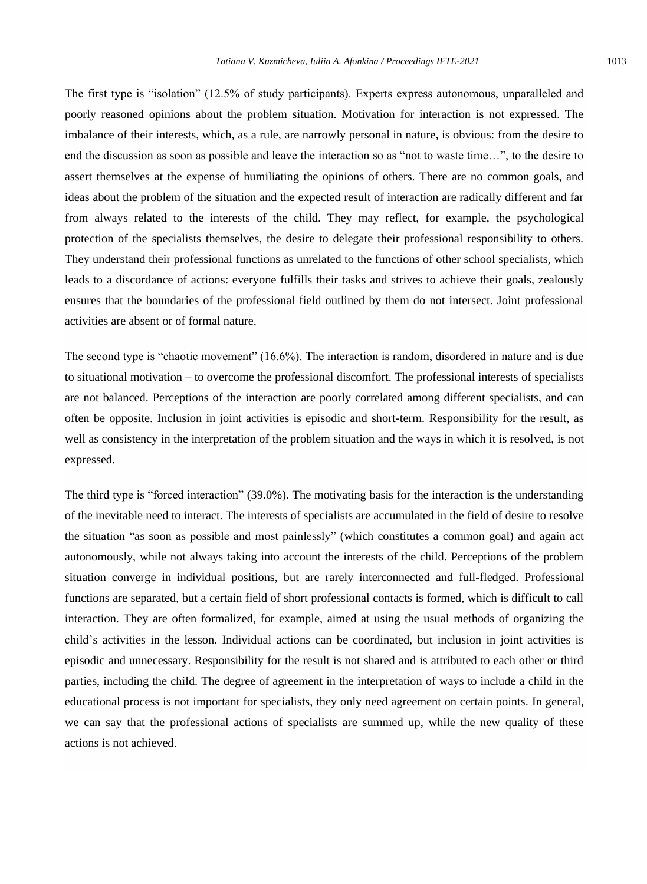The first type is "isolation" (12.5% of study participants). Experts express autonomous, unparalleled and poorly reasoned opinions about the problem situation. Motivation for interaction is not expressed. The imbalance of their interests, which, as a rule, are narrowly personal in nature, is obvious: from the desire to end the discussion as soon as possible and leave the interaction so as "not to waste time…", to the desire to assert themselves at the expense of humiliating the opinions of others. There are no common goals, and ideas about the problem of the situation and the expected result of interaction are radically different and far from always related to the interests of the child. They may reflect, for example, the psychological protection of the specialists themselves, the desire to delegate their professional responsibility to others. They understand their professional functions as unrelated to the functions of other school specialists, which leads to a discordance of actions: everyone fulfills their tasks and strives to achieve their goals, zealously ensures that the boundaries of the professional field outlined by them do not intersect. Joint professional activities are absent or of formal nature.

The second type is "chaotic movement" (16.6%). The interaction is random, disordered in nature and is due to situational motivation – to overcome the professional discomfort. The professional interests of specialists are not balanced. Perceptions of the interaction are poorly correlated among different specialists, and can often be opposite. Inclusion in joint activities is episodic and short-term. Responsibility for the result, as well as consistency in the interpretation of the problem situation and the ways in which it is resolved, is not expressed.

The third type is "forced interaction" (39.0%). The motivating basis for the interaction is the understanding of the inevitable need to interact. The interests of specialists are accumulated in the field of desire to resolve the situation "as soon as possible and most painlessly" (which constitutes a common goal) and again act autonomously, while not always taking into account the interests of the child. Perceptions of the problem situation converge in individual positions, but are rarely interconnected and full-fledged. Professional functions are separated, but a certain field of short professional contacts is formed, which is difficult to call interaction. They are often formalized, for example, aimed at using the usual methods of organizing the child's activities in the lesson. Individual actions can be coordinated, but inclusion in joint activities is episodic and unnecessary. Responsibility for the result is not shared and is attributed to each other or third parties, including the child. The degree of agreement in the interpretation of ways to include a child in the educational process is not important for specialists, they only need agreement on certain points. In general, we can say that the professional actions of specialists are summed up, while the new quality of these actions is not achieved.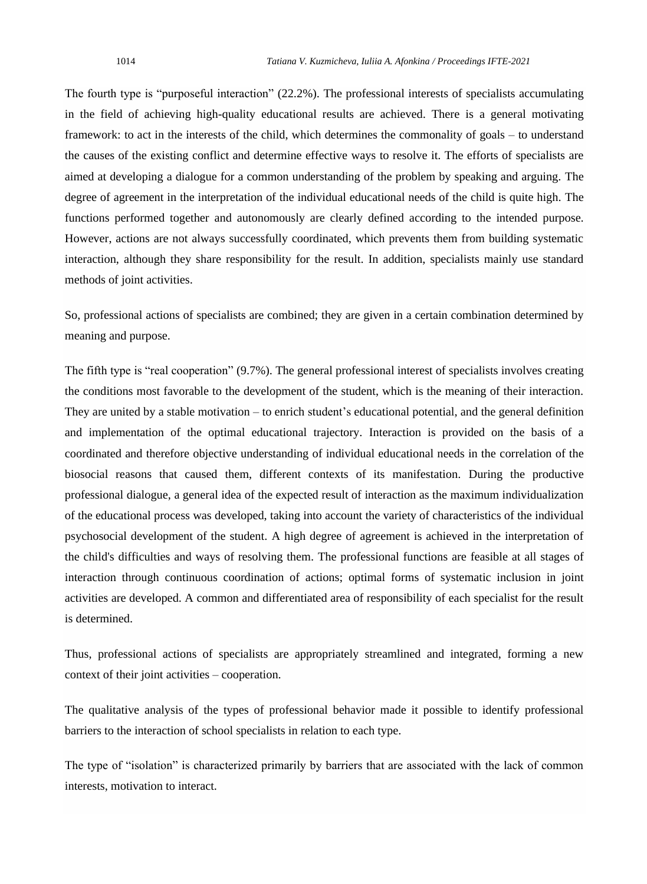The fourth type is "purposeful interaction" (22.2%). The professional interests of specialists accumulating in the field of achieving high-quality educational results are achieved. There is a general motivating framework: to act in the interests of the child, which determines the commonality of goals – to understand the causes of the existing conflict and determine effective ways to resolve it. The efforts of specialists are aimed at developing a dialogue for a common understanding of the problem by speaking and arguing. The degree of agreement in the interpretation of the individual educational needs of the child is quite high. The functions performed together and autonomously are clearly defined according to the intended purpose. However, actions are not always successfully coordinated, which prevents them from building systematic interaction, although they share responsibility for the result. In addition, specialists mainly use standard methods of joint activities.

So, professional actions of specialists are combined; they are given in a certain combination determined by meaning and purpose.

The fifth type is "real cooperation" (9.7%). The general professional interest of specialists involves creating the conditions most favorable to the development of the student, which is the meaning of their interaction. They are united by a stable motivation – to enrich student's educational potential, and the general definition and implementation of the optimal educational trajectory. Interaction is provided on the basis of a coordinated and therefore objective understanding of individual educational needs in the correlation of the biosocial reasons that caused them, different contexts of its manifestation. During the productive professional dialogue, a general idea of the expected result of interaction as the maximum individualization of the educational process was developed, taking into account the variety of characteristics of the individual psychosocial development of the student. A high degree of agreement is achieved in the interpretation of the child's difficulties and ways of resolving them. The professional functions are feasible at all stages of interaction through continuous coordination of actions; optimal forms of systematic inclusion in joint activities are developed. A common and differentiated area of responsibility of each specialist for the result is determined.

Thus, professional actions of specialists are appropriately streamlined and integrated, forming a new context of their joint activities – cooperation.

The qualitative analysis of the types of professional behavior made it possible to identify professional barriers to the interaction of school specialists in relation to each type.

The type of "isolation" is characterized primarily by barriers that are associated with the lack of common interests, motivation to interact.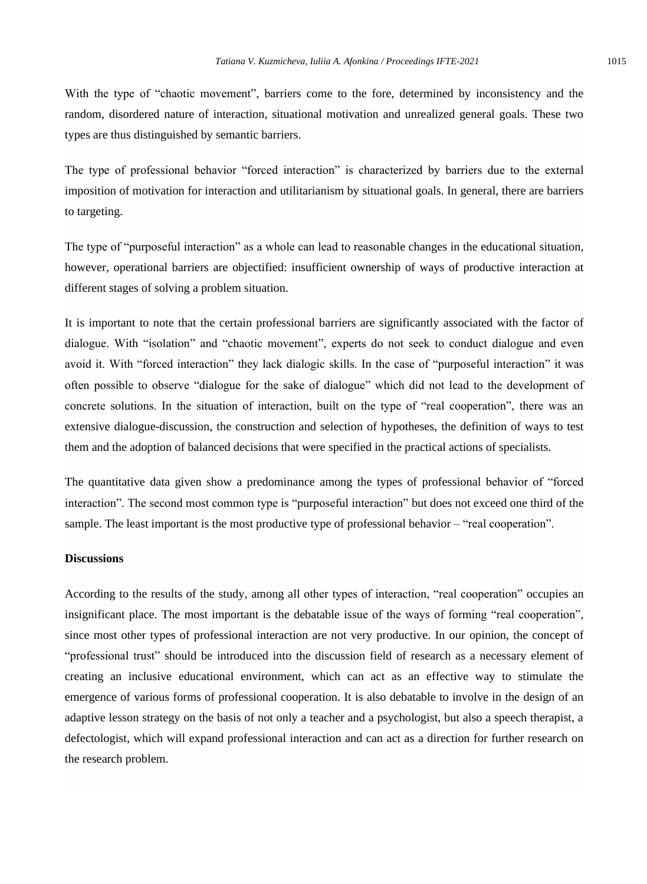With the type of "chaotic movement", barriers come to the fore, determined by inconsistency and the random, disordered nature of interaction, situational motivation and unrealized general goals. These two types are thus distinguished by semantic barriers.

The type of professional behavior "forced interaction" is characterized by barriers due to the external imposition of motivation for interaction and utilitarianism by situational goals. In general, there are barriers to targeting.

The type of "purposeful interaction" as a whole can lead to reasonable changes in the educational situation, however, operational barriers are objectified: insufficient ownership of ways of productive interaction at different stages of solving a problem situation.

It is important to note that the certain professional barriers are significantly associated with the factor of dialogue. With "isolation" and "chaotic movement", experts do not seek to conduct dialogue and even avoid it. With "forced interaction" they lack dialogic skills. In the case of "purposeful interaction" it was often possible to observe "dialogue for the sake of dialogue" which did not lead to the development of concrete solutions. In the situation of interaction, built on the type of "real cooperation", there was an extensive dialogue-discussion, the construction and selection of hypotheses, the definition of ways to test them and the adoption of balanced decisions that were specified in the practical actions of specialists.

The quantitative data given show a predominance among the types of professional behavior of "forced interaction". The second most common type is "purposeful interaction" but does not exceed one third of the sample. The least important is the most productive type of professional behavior – "real cooperation".

#### **Discussions**

According to the results of the study, among all other types of interaction, "real cooperation" occupies an insignificant place. The most important is the debatable issue of the ways of forming "real cooperation", since most other types of professional interaction are not very productive. In our opinion, the concept of "professional trust" should be introduced into the discussion field of research as a necessary element of creating an inclusive educational environment, which can act as an effective way to stimulate the emergence of various forms of professional cooperation. It is also debatable to involve in the design of an adaptive lesson strategy on the basis of not only a teacher and a psychologist, but also a speech therapist, a defectologist, which will expand professional interaction and can act as a direction for further research on the research problem.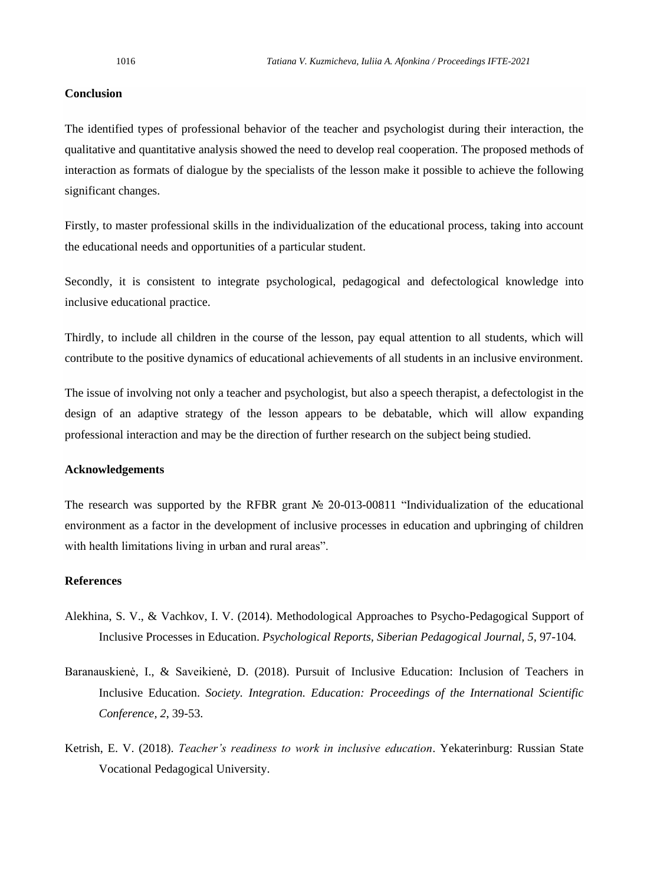# **Conclusion**

The identified types of professional behavior of the teacher and psychologist during their interaction, the qualitative and quantitative analysis showed the need to develop real cooperation. The proposed methods of interaction as formats of dialogue by the specialists of the lesson make it possible to achieve the following significant changes.

Firstly, to master professional skills in the individualization of the educational process, taking into account the educational needs and opportunities of a particular student.

Secondly, it is consistent to integrate psychological, pedagogical and defectological knowledge into inclusive educational practice.

Thirdly, to include all children in the course of the lesson, pay equal attention to all students, which will contribute to the positive dynamics of educational achievements of all students in an inclusive environment.

The issue of involving not only a teacher and psychologist, but also a speech therapist, a defectologist in the design of an adaptive strategy of the lesson appears to be debatable, which will allow expanding professional interaction and may be the direction of further research on the subject being studied.

## **Acknowledgements**

The research was supported by the RFBR grant № 20-013-00811 "Individualization of the educational environment as a factor in the development of inclusive processes in education and upbringing of children with health limitations living in urban and rural areas".

# **References**

- Alekhina, S. V., & Vachkov, I. V. (2014). Methodological Approaches to Psycho-Pedagogical Support of Inclusive Processes in Education. *Psychological Reports, Siberian Pedagogical Journal, 5, 97-104.*
- Baranauskienė, I., & Saveikienė, D. (2018). Pursuit of Inclusive Education: Inclusion of Teachers in Inclusive Education. *Society. Integration. Education: Proceedings of the International Scientific Conference, 2*, 39-53.
- Ketrish, E. V. (2018). *Teacher's readiness to work in inclusive education*. Yekaterinburg: Russian State Vocational Pedagogical University.